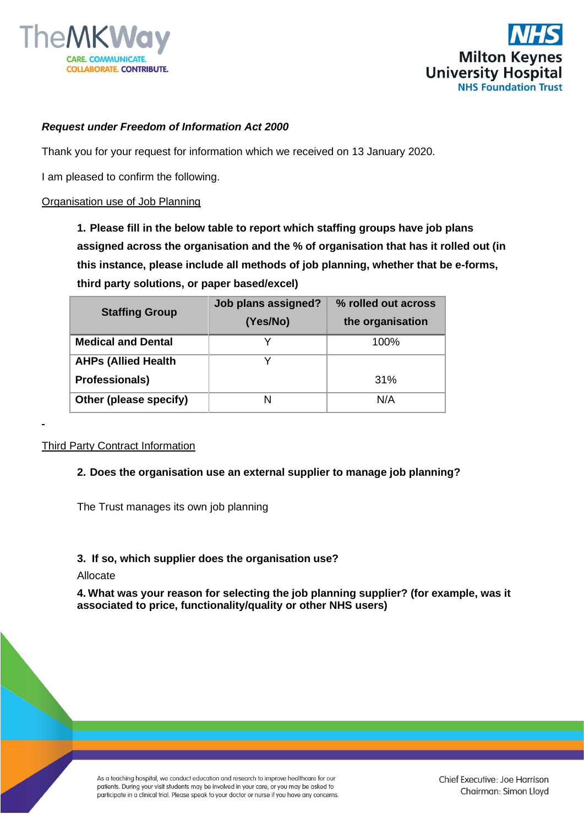



## *Request under Freedom of Information Act 2000*

Thank you for your request for information which we received on 13 January 2020.

I am pleased to confirm the following.

### Organisation use of Job Planning

**1. Please fill in the below table to report which staffing groups have job plans assigned across the organisation and the % of organisation that has it rolled out (in this instance, please include all methods of job planning, whether that be e-forms, third party solutions, or paper based/excel)**

| <b>Staffing Group</b>      | Job plans assigned? | % rolled out across |
|----------------------------|---------------------|---------------------|
|                            | (Yes/No)            | the organisation    |
| <b>Medical and Dental</b>  |                     | 100%                |
| <b>AHPs (Allied Health</b> |                     |                     |
| <b>Professionals)</b>      |                     | 31%                 |
| Other (please specify)     | N                   | N/A                 |

#### Third Party Contract Information

#### **2. Does the organisation use an external supplier to manage job planning?**

The Trust manages its own job planning

#### **3. If so, which supplier does the organisation use?**

### Allocate

**4. What was your reason for selecting the job planning supplier? (for example, was it associated to price, functionality/quality or other NHS users)**

As a teaching hospital, we conduct education and research to improve healthcare for our patients. During your visit students may be involved in your care, or you may be asked to participate in a clinical trial. Please speak to your doctor or nurse if you have any concerns.